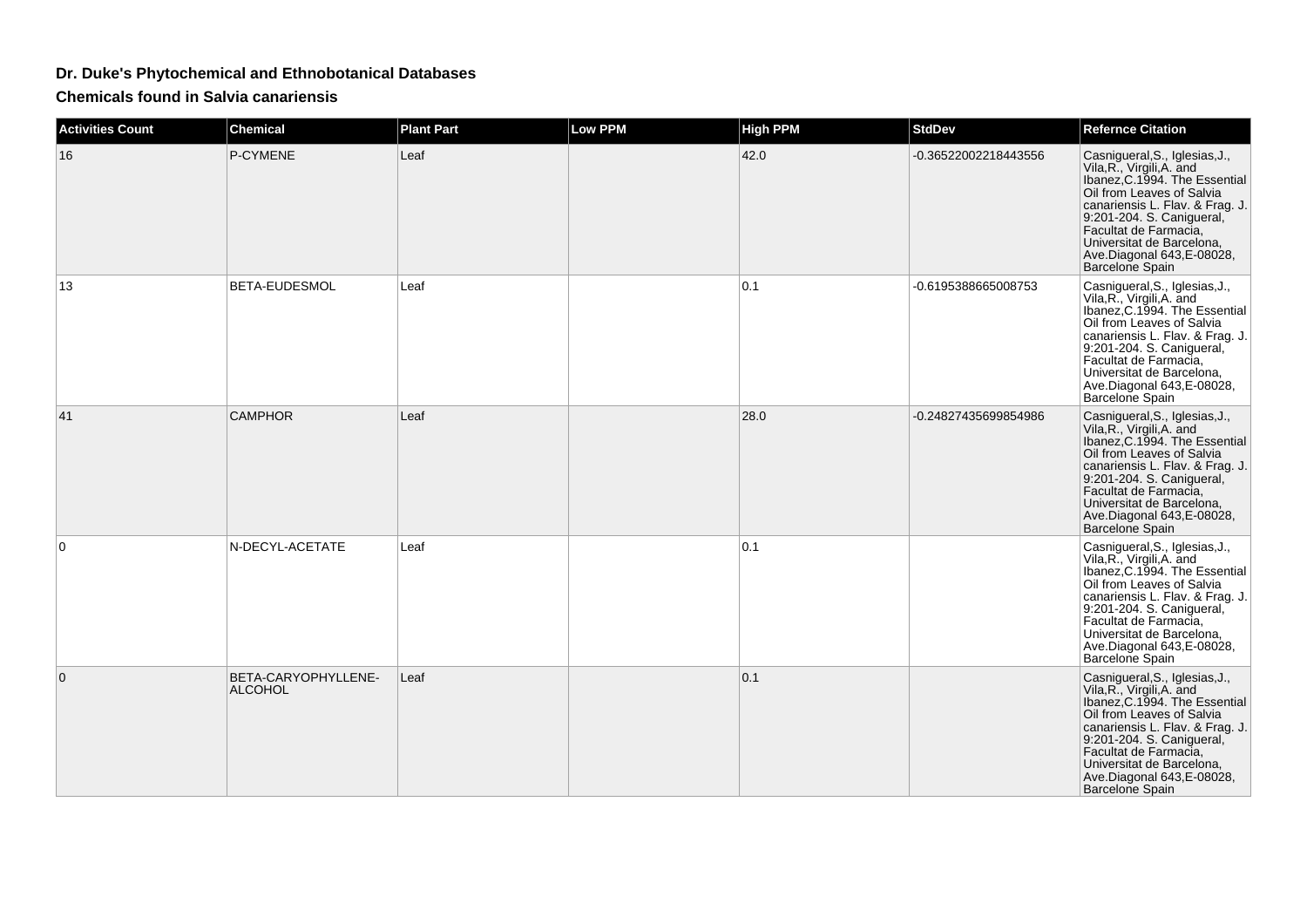## **Dr. Duke's Phytochemical and Ethnobotanical Databases**

**Chemicals found in Salvia canariensis**

| <b>Activities Count</b> | <b>Chemical</b>                       | <b>Plant Part</b> | Low PPM | <b>High PPM</b> | <b>StdDev</b>        | <b>Refernce Citation</b>                                                                                                                                                                                                                                                                         |
|-------------------------|---------------------------------------|-------------------|---------|-----------------|----------------------|--------------------------------------------------------------------------------------------------------------------------------------------------------------------------------------------------------------------------------------------------------------------------------------------------|
| 16                      | P-CYMENE                              | Leaf              |         | 42.0            | -0.36522002218443556 | Casnigueral, S., Iglesias, J.,<br>Vila, R., Virgili, A. and<br>Ibanez, C.1994. The Essential<br>Oil from Leaves of Salvia<br>canariensis L. Flav. & Frag. J.<br>9:201-204. S. Canigueral,<br>Facultat de Farmacia,<br>Universitat de Barcelona,<br>Ave.Diagonal 643, E-08028,<br>Barcelone Spain |
| 13                      | BETA-EUDESMOL                         | Leaf              |         | 0.1             | -0.6195388665008753  | Casnigueral, S., Iglesias, J.,<br>Vila, R., Virgili, A. and<br>Ibanez, C.1994. The Essential<br>Oil from Leaves of Salvia<br>canariensis L. Flav. & Frag. J.<br>9:201-204. S. Canigueral,<br>Facultat de Farmacia,<br>Universitat de Barcelona,<br>Ave.Diagonal 643, E-08028,<br>Barcelone Spain |
| 41                      | <b>CAMPHOR</b>                        | Leaf              |         | 28.0            | -0.24827435699854986 | Casnigueral, S., Iglesias, J.,<br>Vila, R., Virgili, A. and<br>Ibanez, C.1994. The Essential<br>Oil from Leaves of Salvia<br>canariensis L. Flav. & Frag. J.<br>9:201-204. S. Canigueral,<br>Facultat de Farmacia,<br>Universitat de Barcelona,<br>Ave.Diagonal 643, E-08028,<br>Barcelone Spain |
| 0                       | N-DECYL-ACETATE                       | Leaf              |         | 0.1             |                      | Casnigueral, S., Iglesias, J., Vila, R., Virgili, A. and<br>Ibanez, C.1994. The Essential<br>Oil from Leaves of Salvia<br>canariensis L. Flav. & Frag. J.<br>9:201-204. S. Canigueral,<br>Facultat de Farmacia.<br>Universitat de Barcelona,<br>Ave.Diagonal 643, E-08028,<br>Barcelone Spain    |
| $\Omega$                | BETA-CARYOPHYLLENE-<br><b>ALCOHOL</b> | Leaf              |         | 0.1             |                      | Casnigueral, S., Iglesias, J.,<br>Vila, R., Virgili, A. and<br>Ibanez, C.1994. The Essential<br>Oil from Leaves of Salvia<br>canariensis L. Flav. & Frag. J.<br>9.201-204. S. Canigueral,<br>Facultat de Farmacia,<br>Universitat de Barcelona,<br>Ave.Diagonal 643, E-08028,<br>Barcelone Spain |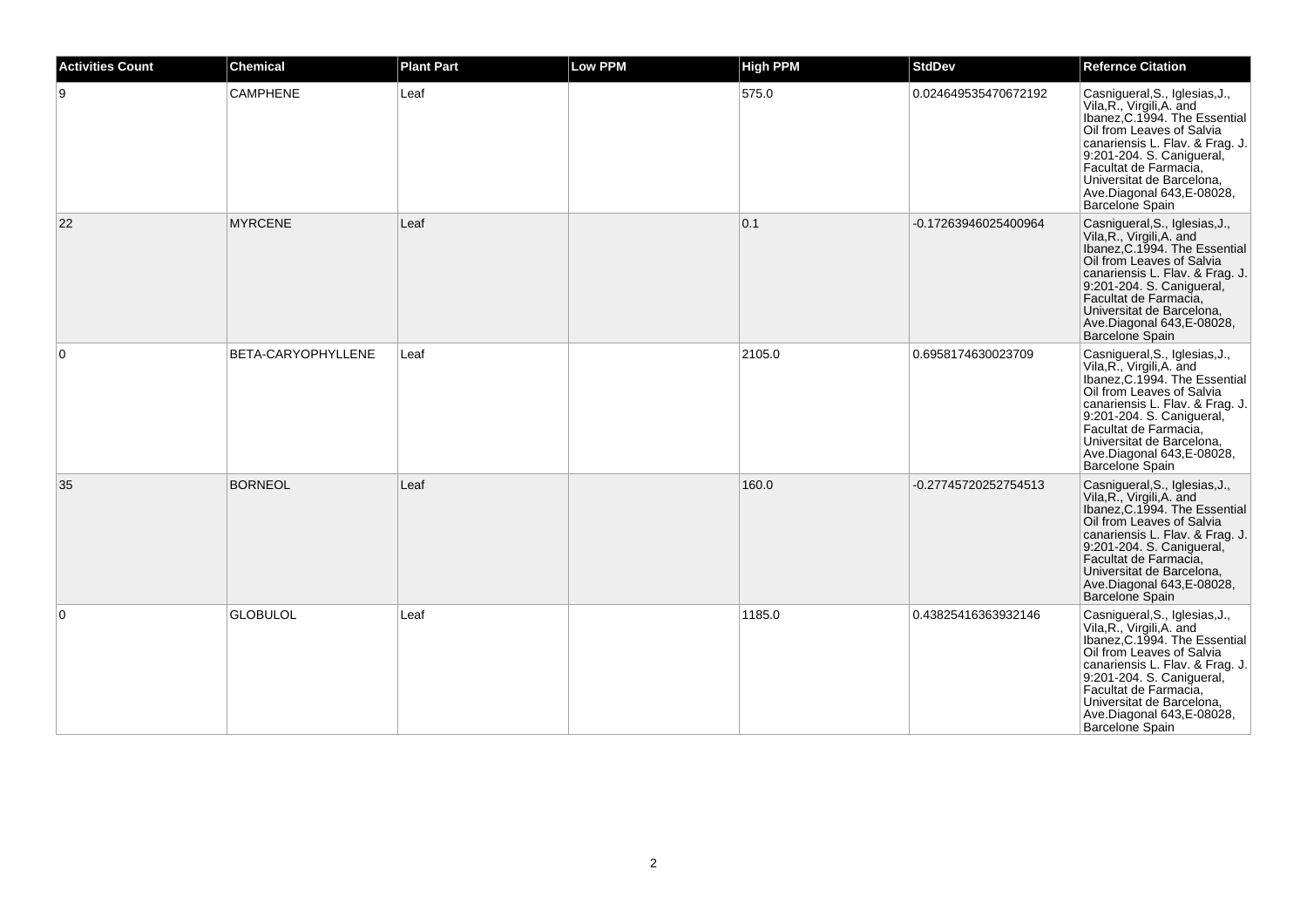| <b>Activities Count</b> | Chemical           | <b>Plant Part</b> | <b>Low PPM</b> | <b>High PPM</b> | <b>StdDev</b>        | <b>Refernce Citation</b>                                                                                                                                                                                                                                                                         |
|-------------------------|--------------------|-------------------|----------------|-----------------|----------------------|--------------------------------------------------------------------------------------------------------------------------------------------------------------------------------------------------------------------------------------------------------------------------------------------------|
| 9                       | <b>CAMPHENE</b>    | Leaf              |                | 575.0           | 0.024649535470672192 | Casnigueral, S., Iglesias, J.,<br>Vila, R., Virgili, A. and<br>Ibanez, C.1994. The Essential<br>Oil from Leaves of Salvia<br>canariensis L. Flav. & Frag. J.<br>9:201-204. S. Canigueral,<br>Facultat de Farmacia,<br>Universitat de Barcelona,<br>Ave.Diagonal 643, E-08028,<br>Barcelone Spain |
| 22                      | <b>MYRCENE</b>     | Leaf              |                | 0.1             | -0.17263946025400964 | Casnigueral, S., Iglesias, J., Vila, R., Virgili, A. and<br>Ibanez, C.1994. The Essential<br>Oil from Leaves of Salvia<br>canariensis L. Flav. & Frag. J.<br>9:201-204. S. Canigueral,<br>Facultat de Farmacia,<br>Universitat de Barcelona,<br>Ave.Diagonal 643, E-08028,<br>Barcelone Spain    |
| 0                       | BETA-CARYOPHYLLENE | Leaf              |                | 2105.0          | 0.6958174630023709   | Casnigueral, S., Iglesias, J., Vila, R., Virgili, A. and<br>Ibanez, C.1994. The Essential<br>Oil from Leaves of Salvia<br>canariensis L. Flav. & Frag. J.<br>9:201-204. S. Canigueral,<br>Facultat de Farmacia,<br>Universitat de Barcelona,<br>Ave.Diagonal 643, E-08028,<br>Barcelone Spain    |
| 35                      | <b>BORNEOL</b>     | Leaf              |                | 160.0           | -0.27745720252754513 | Casnigueral, S., Iglesias, J.,<br>Vila, R., Virgili, A. and<br>Ibanez, C.1994. The Essential<br>Oil from Leaves of Salvia<br>canariensis L. Flav. & Frag. J.<br>9:201-204. S. Canigueral,<br>Facultat de Farmacia,<br>Universitat de Barcelona,<br>Ave.Diagonal 643, E-08028,<br>Barcelone Spain |
| $\overline{0}$          | GLOBULOL           | Leaf              |                | 1185.0          | 0.43825416363932146  | Casnigueral, S., Iglesias, J.,<br>Vila, R., Virgili, A. and<br>Ibanez, C.1994. The Essential<br>Oil from Leaves of Salvia<br>canariensis L. Flav. & Frag. J.<br>9:201-204. S. Canigueral,<br>Facultat de Farmacia,<br>Universitat de Barcelona,<br>Ave.Diagonal 643, E-08028,<br>Barcelone Spain |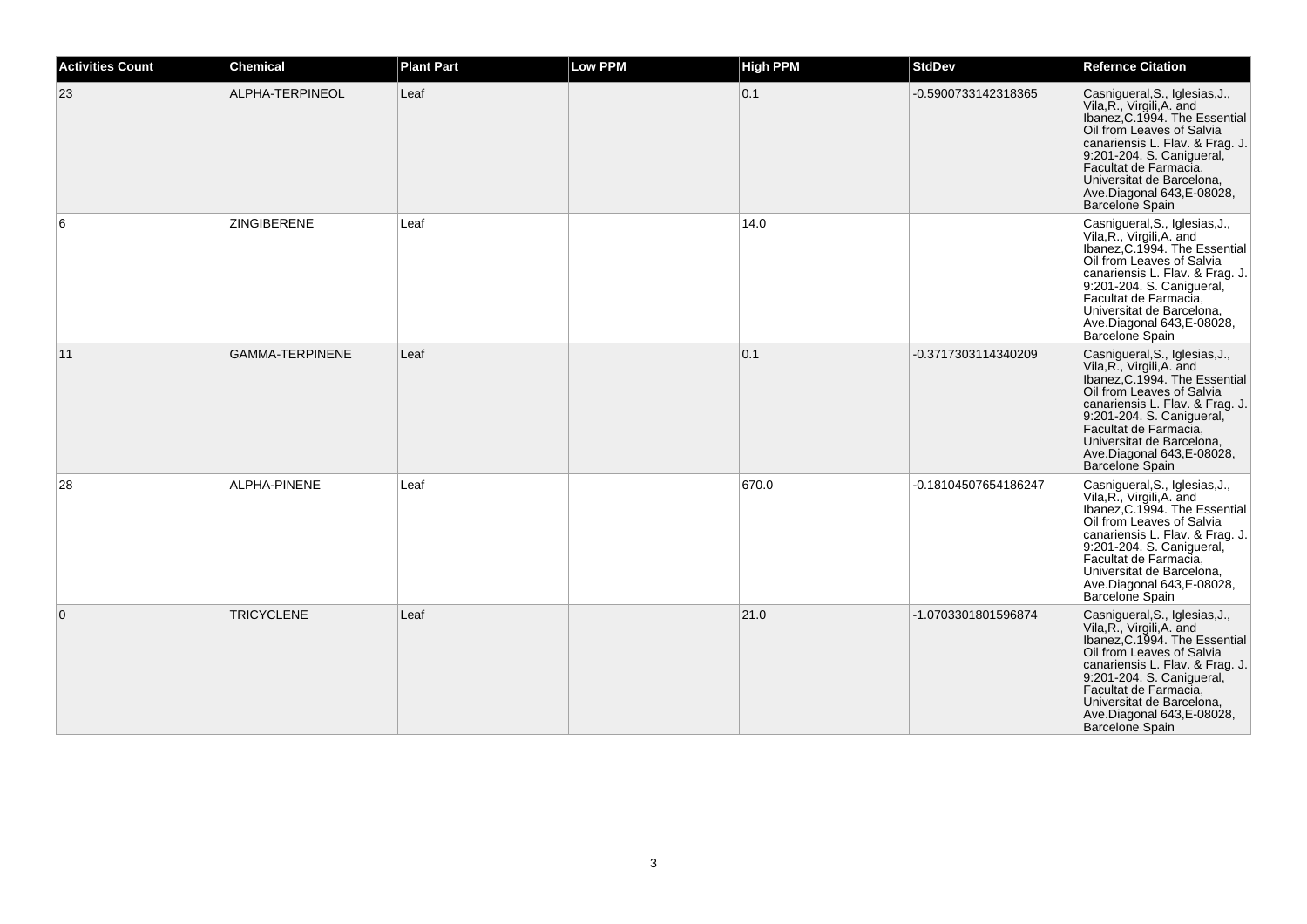| <b>Activities Count</b> | <b>Chemical</b>        | <b>Plant Part</b> | <b>Low PPM</b> | <b>High PPM</b> | <b>StdDev</b>        | <b>Refernce Citation</b>                                                                                                                                                                                                                                                                          |
|-------------------------|------------------------|-------------------|----------------|-----------------|----------------------|---------------------------------------------------------------------------------------------------------------------------------------------------------------------------------------------------------------------------------------------------------------------------------------------------|
| 23                      | ALPHA-TERPINEOL        | Leaf              |                | 0.1             | -0.5900733142318365  | Casnigueral, S., Iglesias, J.,<br>Vila, R., Virgili, A. and<br>Ibanez, C.1994. The Essential<br>Oil from Leaves of Salvia<br>canariensis L. Flav. & Frag. J.<br>9:201-204. S. Canigueral,<br>Facultat de Farmacia,<br>Universitat de Barcelona,<br>Ave.Diagonal 643, E-08028,<br>Barcelone Spain  |
| 6                       | ZINGIBERENE            | Leaf              |                | 14.0            |                      | Casnigueral, S., Iglesias, J.,<br>Vila, R., Virgili, A. and<br>Ibanez, C.1994. The Essential<br>Oil from Leaves of Salvia<br>canariensis L. Flav. & Frag. J.<br>9:201-204. S. Canigueral,<br>Facultat de Farmacia,<br>Universitat de Barcelona,<br>Ave.Diagonal 643, E-08028,<br>Barcelone Spain  |
| 11                      | <b>GAMMA-TERPINENE</b> | Leaf              |                | 0.1             | -0.3717303114340209  | Casnigueral, S., Iglesias, J.,<br>Vila, R., Virgili, A. and<br>Ibanez, C.1994. The Essential<br>Oil from Leaves of Salvia<br>canariensis L. Flav. & Frag. J.<br>9:201-204. S. Canigueral,<br>Facultat de Farmacia,<br>Universitat de Barcelona,<br>Ave.Diagonal 643, E-08028,<br>Barcelone Spain  |
| 28                      | ALPHA-PINENE           | Leaf              |                | 670.0           | -0.18104507654186247 | Casnigueral, S., Iglesias, J.,<br>Vila, R., Virgili, A. and<br>Ibanez, C.1994. The Essential<br>Oil from Leaves of Salvia<br>canariensis L. Flav. & Frag. J.<br>9:201-204. S. Canigueral,<br>Facultat de Farmacia,<br>Universitat de Barcelona,<br>Ave.Diagonal 643, E-08028,<br>Barcelone Spain  |
| $\mathbf{0}$            | <b>TRICYCLENE</b>      | Leaf              |                | 21.0            | -1.0703301801596874  | Casnigueral, S., Iglesias, J.,<br>Vila, R., Virgili, A. and<br>Ibanez, C. 1994. The Essential<br>Oil from Leaves of Salvia<br>canariensis L. Flav. & Frag. J.<br>9:201-204. S. Canigueral,<br>Facultat de Farmacia,<br>Universitat de Barcelona,<br>Ave.Diagonal 643, E-08028,<br>Barcelone Spain |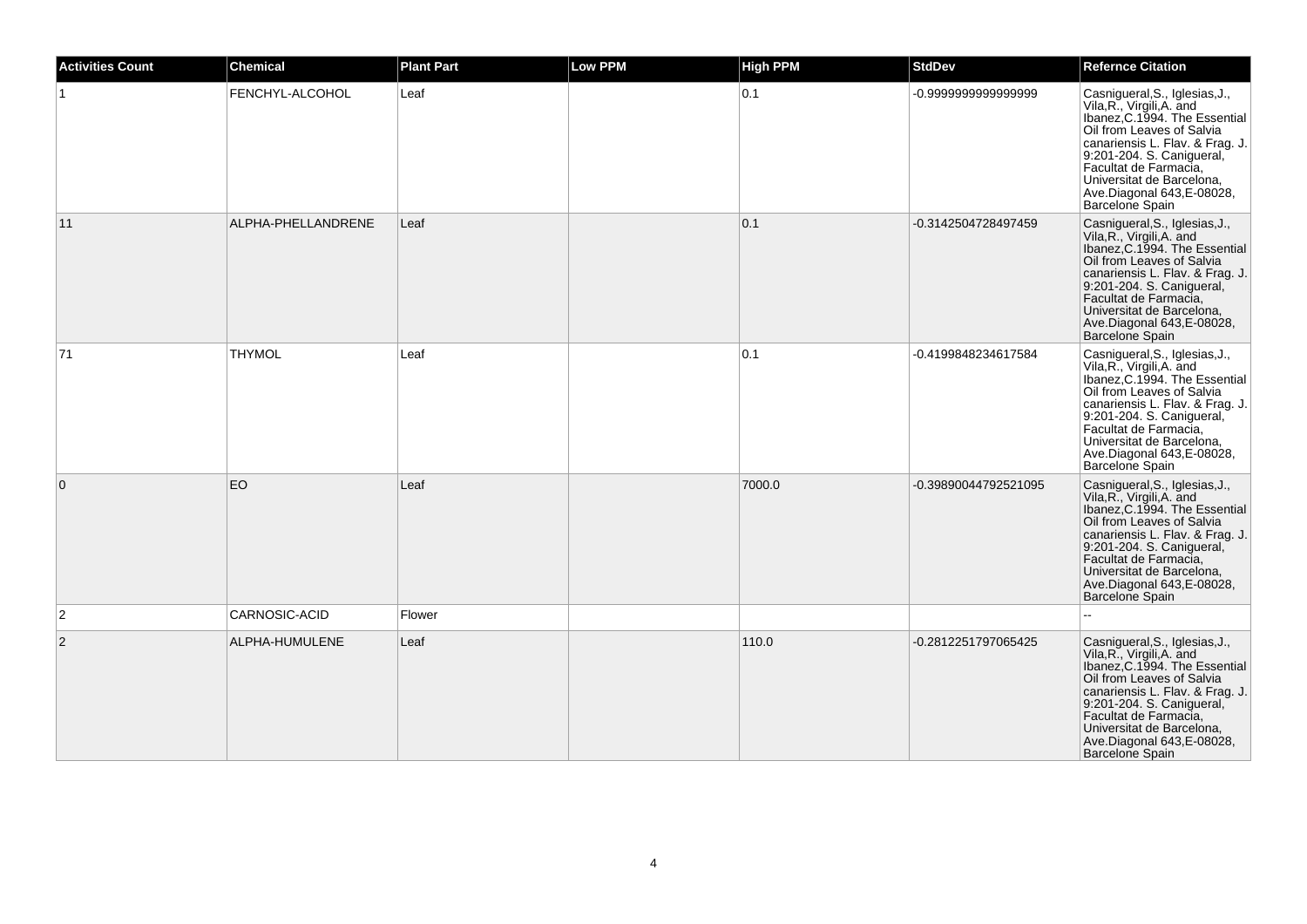| <b>Activities Count</b> | <b>Chemical</b>    | <b>Plant Part</b> | <b>Low PPM</b> | <b>High PPM</b> | <b>StdDev</b>        | <b>Refernce Citation</b>                                                                                                                                                                                                                                                                                |
|-------------------------|--------------------|-------------------|----------------|-----------------|----------------------|---------------------------------------------------------------------------------------------------------------------------------------------------------------------------------------------------------------------------------------------------------------------------------------------------------|
|                         | FENCHYL-ALCOHOL    | Leaf              |                | 0.1             | -0.9999999999999999  | Casnigueral, S., Iglesias, J.,<br>Vila, R., Virgili, A. and<br>Ibanez, C.1994. The Essential<br>Oil from Leaves of Salvia<br>canariensis L. Flav. & Frag. J.<br>9:201-204. S. Canigueral,<br>Facultat de Farmacia,<br>Universitat de Barcelona,<br>Ave.Diagonal 643, E-08028,<br>Barcelone Spain        |
| 11                      | ALPHA-PHELLANDRENE | Leaf              |                | 0.1             | -0.3142504728497459  | Casnigueral, S., Iglesias, J.,<br>Vila, R., Virgili, A. and<br>Ibanez, C.1994. The Essential<br>Oil from Leaves of Salvia<br>canariensis L. Flav. & Frag. J.<br>9:201-204. S. Canigueral,<br>Facultat de Farmacia,<br>Universitat de Barcelona,<br>Ave.Diagonal 643, E-08028,<br>Barcelone Spain        |
| 71                      | <b>THYMOL</b>      | Leaf              |                | 0.1             | -0.4199848234617584  | Casnigueral, S., Iglesias, J.,<br>Vila, R., Virgili, A. and<br>Ibanez, C.1994. The Essential<br>Oil from Leaves of Salvia<br>canariensis L. Flav. & Frag. J.<br>9:201-204. S. Canigueral,<br>Facultat de Farmacia,<br>Universitat de Barcelona,<br>Ave.Diagonal 643, E-08028,<br>Barcelone Spain        |
| $\overline{0}$          | EO                 | Leaf              |                | 7000.0          | -0.39890044792521095 | Casnigueral, S., Iglesias, J.,<br>Vila, R., Virgili, A. and<br>Ibanez, C.1994. The Essential<br>Oil from Leaves of Salvia<br>canariensis L. Flav. & Frag. J.<br>9:201-204. S. Canigueral,<br>Facultat de Farmacia,<br>Universitat de Barcelona,<br>Ave.Diagonal 643, E-08028,<br>Barcelone Spain        |
| $\overline{2}$          | CARNOSIC-ACID      | Flower            |                |                 |                      |                                                                                                                                                                                                                                                                                                         |
| $\overline{2}$          | ALPHA-HUMULENE     | Leaf              |                | 110.0           | -0.2812251797065425  | Casnigueral, S., Iglesias, J.,<br>Vila, R., Virgili, A. and<br>Ibanez, C.1994. The Essential<br>Oil from Leaves of Salvia<br>canariensis L. Flav. & Frag. J.<br>9:201-204. S. Canigueral,<br>Facultat de Farmacia,<br>Universitat de Barcelona,<br>Ave.Diagonal 643, E-08028,<br><b>Barcelone Spain</b> |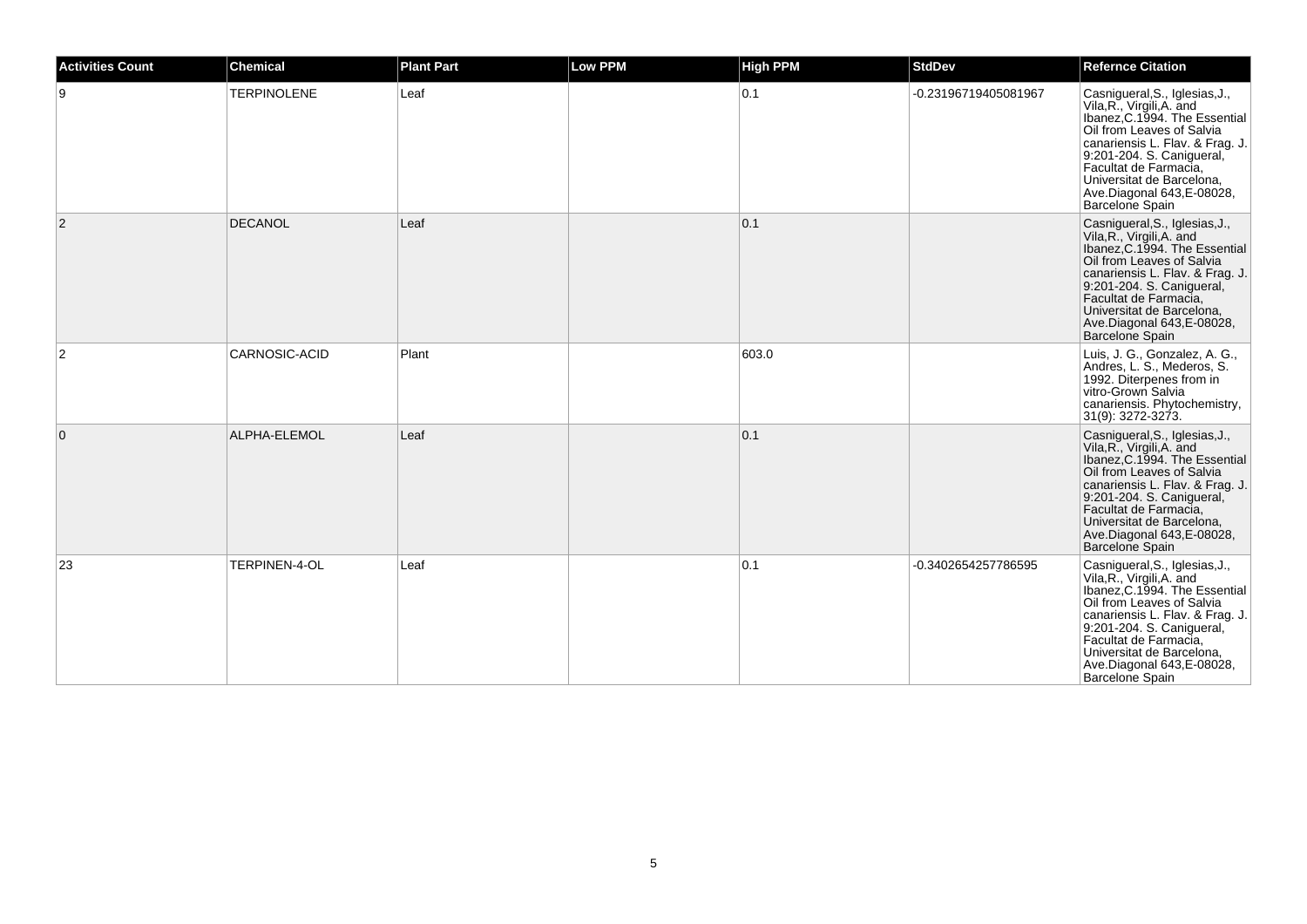| <b>Activities Count</b> | <b>Chemical</b>    | <b>Plant Part</b> | <b>Low PPM</b> | <b>High PPM</b> | <b>StdDev</b>        | <b>Refernce Citation</b>                                                                                                                                                                                                                                                                         |
|-------------------------|--------------------|-------------------|----------------|-----------------|----------------------|--------------------------------------------------------------------------------------------------------------------------------------------------------------------------------------------------------------------------------------------------------------------------------------------------|
| 9                       | <b>TERPINOLENE</b> | Leaf              |                | 0.1             | -0.23196719405081967 | Casnigueral, S., Iglesias, J.,<br>Vila, R., Virgili, A. and<br>Ibanez, C.1994. The Essential<br>Oil from Leaves of Salvia<br>canariensis L. Flav. & Frag. J.<br>9:201-204. S. Canigueral,<br>Facultat de Farmacia,<br>Universitat de Barcelona,<br>Ave.Diagonal 643, E-08028,<br>Barcelone Spain |
| $\overline{2}$          | DECANOL            | Leaf              |                | 0.1             |                      | Casnigueral, S., Iglesias, J.,<br>Vila, R., Virgili, A. and<br>Ibanez, C.1994. The Essential<br>Oil from Leaves of Salvia<br>canariensis L. Flav. & Frag. J.<br>9:201-204. S. Canigueral,<br>Facultat de Farmacia,<br>Universitat de Barcelona,<br>Ave.Diagonal 643, E-08028,<br>Barcelone Spain |
| 2                       | CARNOSIC-ACID      | Plant             |                | 603.0           |                      | Luis, J. G., Gonzalez, A. G.,<br>Andres, L. S., Mederos, S.<br>1992. Diterpenes from in<br>vitro-Grown Salvia<br>canariensis. Phytochemistry,<br>31(9): 3272-3273.                                                                                                                               |
| $\overline{0}$          | ALPHA-ELEMOL       | Leaf              |                | 0.1             |                      | Casnigueral, S., Iglesias, J.,<br>Vila, R., Virgili, A. and<br>Ibanez, C.1994. The Essential<br>Oil from Leaves of Salvia<br>canariensis L. Flav. & Frag. J.<br>9:201-204. S. Canigueral,<br>Facultat de Farmacia,<br>Universitat de Barcelona,<br>Ave.Diagonal 643, E-08028,<br>Barcelone Spain |
| 23                      | TERPINEN-4-OL      | Leaf              |                | 0.1             | -0.3402654257786595  | Casnigueral, S., Iglesias, J., Vila, R., Virgili, A. and<br>Ibanez, C.1994. The Essential<br>Oil from Leaves of Salvia<br>canariensis L. Flav. & Frag. J.<br>9:201-204. S. Canigueral,<br>Facultat de Farmacia,<br>Universitat de Barcelona,<br>Ave.Diagonal 643, E-08028,<br>Barcelone Spain    |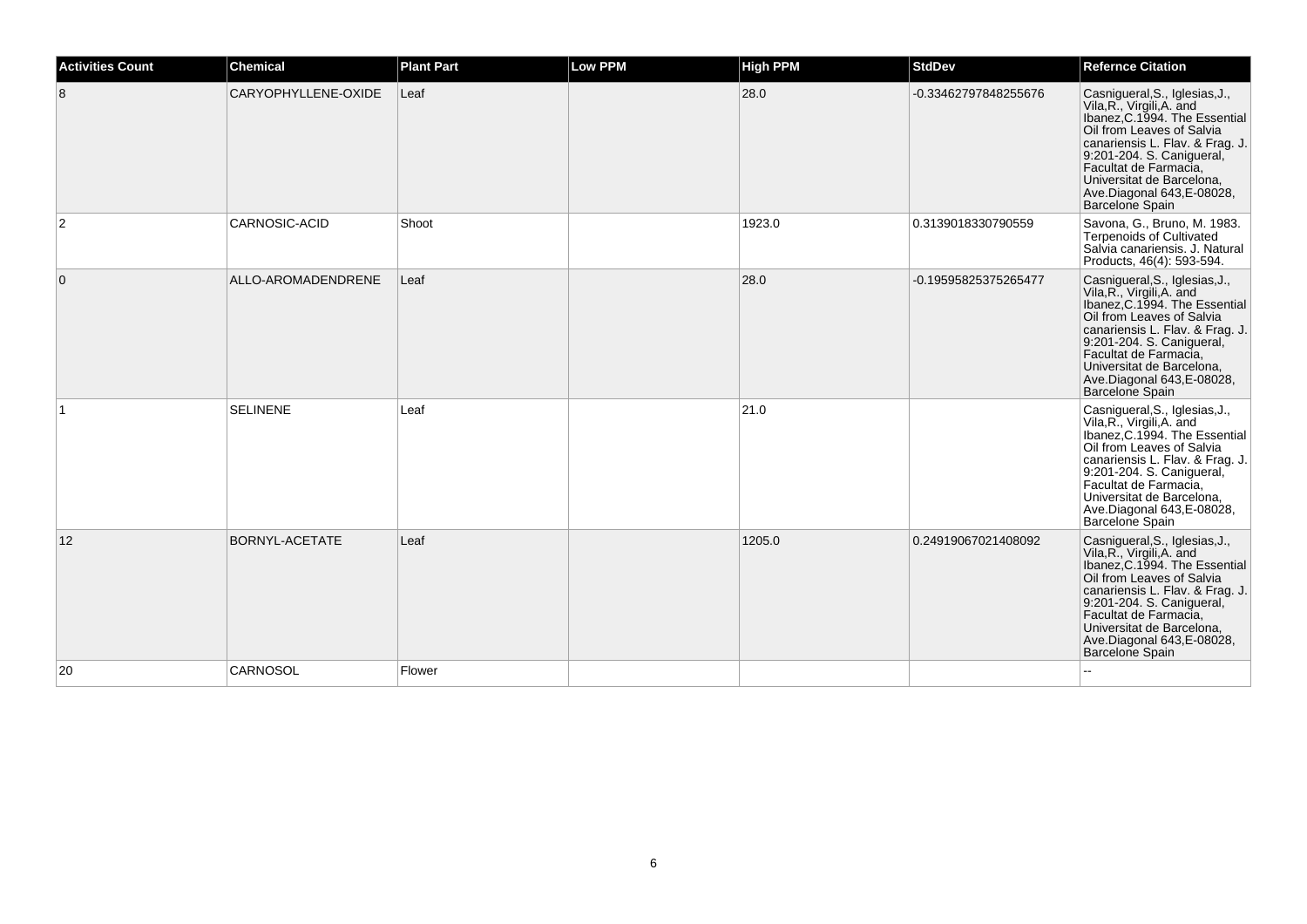| <b>Activities Count</b> | <b>Chemical</b>     | <b>Plant Part</b> | Low PPM | <b>High PPM</b> | <b>StdDev</b>        | <b>Refernce Citation</b>                                                                                                                                                                                                                                                                          |
|-------------------------|---------------------|-------------------|---------|-----------------|----------------------|---------------------------------------------------------------------------------------------------------------------------------------------------------------------------------------------------------------------------------------------------------------------------------------------------|
| 8                       | CARYOPHYLLENE-OXIDE | Leaf              |         | 28.0            | -0.33462797848255676 | Casnigueral, S., Iglesias, J.,<br>Vila, R., Virgili, A. and<br>Ibanez, C.1994. The Essential<br>Oil from Leaves of Salvia<br>canariensis L. Flav. & Frag. J.<br>9:201-204. S. Canigueral,<br>Facultat de Farmacia,<br>Universitat de Barcelona,<br>Ave.Diagonal 643, E-08028,<br>Barcelone Spain  |
| 2                       | CARNOSIC-ACID       | Shoot             |         | 1923.0          | 0.3139018330790559   | Savona, G., Bruno, M. 1983.<br><b>Terpenoids of Cultivated</b><br>Salvia canariensis. J. Natural<br>Products, 46(4): 593-594.                                                                                                                                                                     |
| $\overline{0}$          | ALLO-AROMADENDRENE  | Leaf              |         | 28.0            | -0.19595825375265477 | Casnigueral, S., Iglesias, J., Vila, R., Virgili, A. and<br>Ibanez, C.1994. The Essential<br>Oil from Leaves of Salvia<br>canariensis L. Flav. & Frag. J.<br>9:201-204. S. Canigueral,<br>Facultat de Farmacia,<br>Universitat de Barcelona,<br>Ave.Diagonal 643, E-08028,<br>Barcelone Spain     |
|                         | <b>SELINENE</b>     | Leaf              |         | 21.0            |                      | Casnigueral, S., Iglesias, J.,<br>Vila, R., Virgili, A. and<br>Ibanez, C.1994. The Essential<br>Oil from Leaves of Salvia<br>canariensis L. Flav. & Frag. J.<br>9:201-204. S. Canigueral,<br>Facultat de Farmacia,<br>Universitat de Barcelona,<br>Ave.Diagonal 643, E-08028,<br>Barcelone Spain  |
| 12                      | BORNYL-ACETATE      | Leaf              |         | 1205.0          | 0.24919067021408092  | Casnigueral, S., Iglesias, J.,<br>Vila, R., Virgili, A. and<br>Ibanez, C. 1994. The Essential<br>Oil from Leaves of Salvia<br>canariensis L. Flav. & Frag. J.<br>9:201-204. S. Canigueral,<br>Facultat de Farmacia,<br>Universitat de Barcelona.<br>Ave.Diagonal 643, E-08028,<br>Barcelone Spain |
| 20                      | CARNOSOL            | Flower            |         |                 |                      |                                                                                                                                                                                                                                                                                                   |